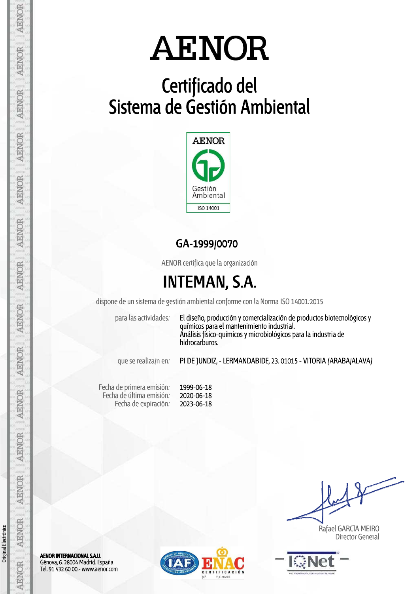## Certificado del Sistema de Gestión Ambiental



### GA-1999/0070

AENOR certifica que la organización

## **INTEMAN, S.A.**

dispone de un sistema de gestión ambiental conforme con la Norma ISO 14001:2015

para las actividades:

El diseño, producción y comercialización de productos biotecnológicos y químicos para el mantenimiento industrial. Análisis físico-químicos y microbiológicos para la industria de hidrocarburos.

que se realiza/n en:

PI DE JUNDIZ, - LERMANDABIDE, 23. 01015 - VITORIA (ARABA/ALAVA)

| 1999-06-18 | Fecha de primera emisión: |
|------------|---------------------------|
| 2020-06-18 | Fecha de última emisión:  |
| 2023-06-18 | Fecha de expiración:      |

Rafael GARCÍA MEIRO **Director General** 



**AENOR INTERNACIONAL S.A.U.** Génova, 6. 28004 Madrid. España Tel. 91 432 60 00.- www.aenor.com



Original Electrónico